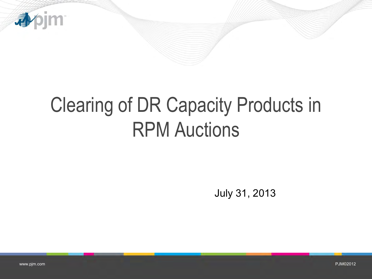

# Clearing of DR Capacity Products in RPM Auctions

July 31, 2013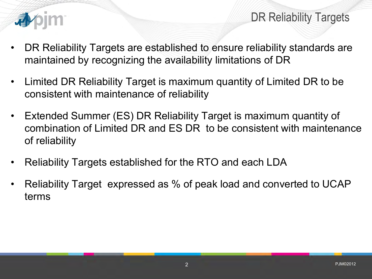

DR Reliability Targets

- DR Reliability Targets are established to ensure reliability standards are maintained by recognizing the availability limitations of DR
- Limited DR Reliability Target is maximum quantity of Limited DR to be consistent with maintenance of reliability
- Extended Summer (ES) DR Reliability Target is maximum quantity of combination of Limited DR and ES DR to be consistent with maintenance of reliability
- Reliability Targets established for the RTO and each LDA
- Reliability Target expressed as % of peak load and converted to UCAP terms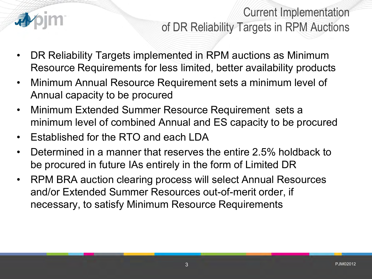

## Current Implementation of DR Reliability Targets in RPM Auctions

- DR Reliability Targets implemented in RPM auctions as Minimum Resource Requirements for less limited, better availability products
- Minimum Annual Resource Requirement sets a minimum level of Annual capacity to be procured
- Minimum Extended Summer Resource Requirement sets a minimum level of combined Annual and ES capacity to be procured
- Established for the RTO and each LDA
- Determined in a manner that reserves the entire 2.5% holdback to be procured in future IAs entirely in the form of Limited DR
- RPM BRA auction clearing process will select Annual Resources and/or Extended Summer Resources out-of-merit order, if necessary, to satisfy Minimum Resource Requirements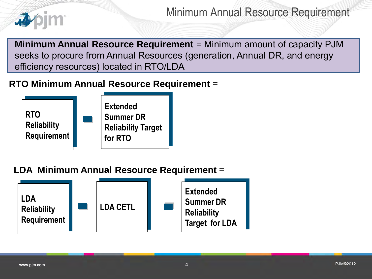

Minimum Annual Resource Requirement

**Minimum Annual Resource Requirement** = Minimum amount of capacity PJM seeks to procure from Annual Resources (generation, Annual DR, and energy efficiency resources) located in RTO/LDA

### **RTO Minimum Annual Resource Requirement** =



### **LDA Minimum Annual Resource Requirement** =

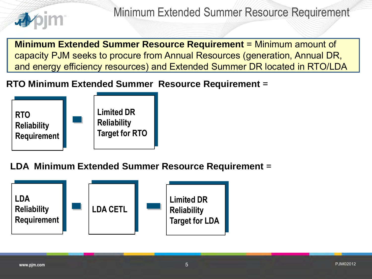

**Minimum Extended Summer Resource Requirement** = Minimum amount of capacity PJM seeks to procure from Annual Resources (generation, Annual DR, and energy efficiency resources) and Extended Summer DR located in RTO/LDA

### **RTO Minimum Extended Summer Resource Requirement** =



**LDA Minimum Extended Summer Resource Requirement** =

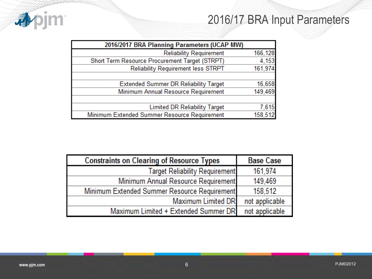## 2016/17 BRA Input Parameters



| 2016/2017 BRA Planning Parameters (UCAP MW)    |  |
|------------------------------------------------|--|
| <b>Reliability Requirement</b>                 |  |
| Short Term Resource Procurement Target (STRPT) |  |
| <b>Reliability Requirement less STRPT</b>      |  |
|                                                |  |
| <b>Extended Summer DR Reliability Target</b>   |  |
| Minimum Annual Resource Requirement            |  |
|                                                |  |
| <b>Limited DR Reliability Target</b>           |  |
| Minimum Extended Summer Resource Requirement   |  |

| <b>Constraints on Clearing of Resource Types</b> | <b>Base Case</b> |
|--------------------------------------------------|------------------|
| Target Reliability Requirement                   | 161.974          |
| Minimum Annual Resource Requirement              | 149.469          |
| Minimum Extended Summer Resource Requirement     | 158.512          |
| Maximum Limited DR                               | not applicable   |
| Maximum Limited + Extended Summer DR             | not applicable   |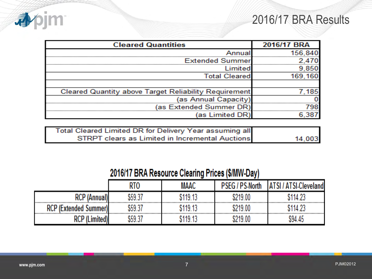### 2016/17 BRA Results



| <b>Cleared Quantities</b>                                    | 2016/17 BRA |
|--------------------------------------------------------------|-------------|
|                                                              |             |
| <b>Extended Summer</b>                                       |             |
| Limited                                                      |             |
| <b>Total Cleared</b>                                         |             |
|                                                              |             |
| <b>Cleared Quantity above Target Reliability Requirement</b> |             |
| (as Annual Capacity)                                         |             |
| (as Extended Summer DR                                       |             |
| (as Limited DR)                                              |             |

| Total Cleared Limited DR for Delivery Year assuming all |        |
|---------------------------------------------------------|--------|
| STRPT clears as Limited in Incremental Auctions         | 14,003 |

### 2016/17 BRA Resource Clearing Prices (\$/MW-Day)

|                              | RTO     | MAAC     | <b>PSEG / PS-North</b> | ' ATSI-Cleve<br>eland |
|------------------------------|---------|----------|------------------------|-----------------------|
| rcp                          | \$59.37 | \$119.13 | \$219.00               | 5114.23               |
| <b>RCP (Extended Summer)</b> | 659.37  | 119 13:  | \$219.00               | 114.23                |
|                              | 659.37  | 119 13   | \$219.00               | \$94.45               |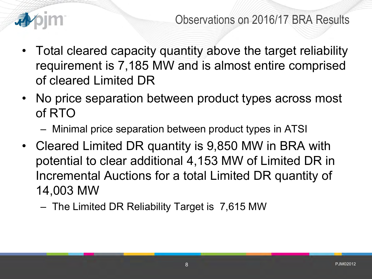

- Total cleared capacity quantity above the target reliability requirement is 7,185 MW and is almost entire comprised of cleared Limited DR
- No price separation between product types across most of RTO
	- Minimal price separation between product types in ATSI
- Cleared Limited DR quantity is 9,850 MW in BRA with potential to clear additional 4,153 MW of Limited DR in Incremental Auctions for a total Limited DR quantity of 14,003 MW
	- The Limited DR Reliability Target is 7,615 MW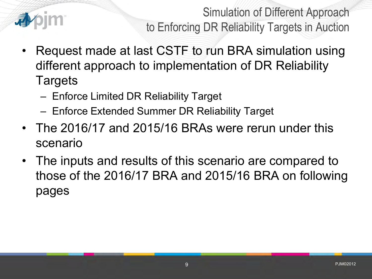

Simulation of Different Approach to Enforcing DR Reliability Targets in Auction

- Request made at last CSTF to run BRA simulation using different approach to implementation of DR Reliability **Targets** 
	- Enforce Limited DR Reliability Target
	- Enforce Extended Summer DR Reliability Target
- The 2016/17 and 2015/16 BRAs were rerun under this scenario
- The inputs and results of this scenario are compared to those of the 2016/17 BRA and 2015/16 BRA on following pages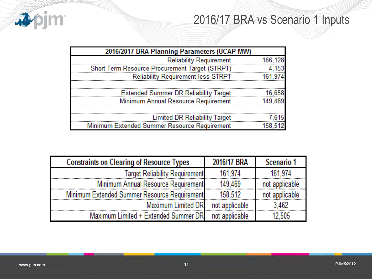## 2016/17 BRA vs Scenario 1 Inputs



| 2016/2017 BRA Planning Parameters (UCAP MW)    |  |
|------------------------------------------------|--|
| <b>Reliability Requirement</b>                 |  |
| Short Term Resource Procurement Target (STRPT) |  |
| <b>Reliability Requirement less STRPT</b>      |  |
|                                                |  |
| <b>Extended Summer DR Reliability Target</b>   |  |
| Minimum Annual Resource Requirement            |  |
|                                                |  |
| <b>Limited DR Reliability Target</b>           |  |
| Minimum Extended Summer Resource Requirement   |  |

| <b>Constraints on Clearing of Resource Types</b> | 2016/17 BRA    | Scenario 1     |
|--------------------------------------------------|----------------|----------------|
| <b>Target Reliability Requirement</b>            | 161.974        | 161 974        |
| Minimum Annual Resource Requirement              | 149 469        | not applicable |
| Minimum Extended Summer Resource Requirement     | 158.512        | not applicable |
| Maximum Limited DRI                              | not applicable |                |
| Maximum Limited + Extended Summer DRI            | not applicable |                |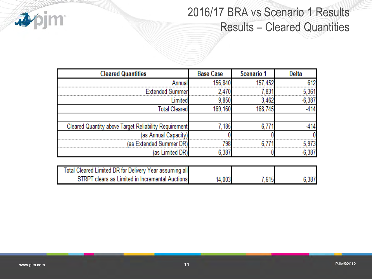

7,615

14,003

6,387

| $\bullet$<br>作手 |  |  |
|-----------------|--|--|

| <b>Cleared Quantities</b>                               | <b>Base Case</b> | Scenario 1 | <b>Delta</b> |
|---------------------------------------------------------|------------------|------------|--------------|
| Annual                                                  | 156,840          |            | 612          |
| <b>Extended Summer</b>                                  |                  |            | 5.361        |
| Limited                                                 | 9,850            | 3.462      | -6.387       |
| <b>Total Cleared</b>                                    | 169.160          | 168.745    |              |
|                                                         |                  |            |              |
| Cleared Quantity above Target Reliability Requirement   | 7.185            | 6.77       |              |
| (as Annual Capacity)                                    |                  |            |              |
| (as Extended Summer DR)                                 | 798              |            |              |
| (as Limited DR)                                         | 6.38             |            | ճ 387        |
|                                                         |                  |            |              |
| Total Cleared Limited DR for Delivery Year assuming all |                  |            |              |

STRPT clears as Limited in Incremental Auctions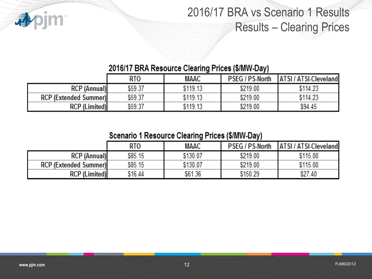

# 2016/17 BRA vs Scenario 1 Results Results – Clearing Prices

#### 2016/17 BRA Resource Clearing Prices (\$/MW-Day)

|                                  | RTO     | MAAC       | <b>PSEG / PS-North</b> | <b>ATSI/ATSI-Clevel</b><br>landi |
|----------------------------------|---------|------------|------------------------|----------------------------------|
| RCP (A                           | አናባ ??  | 119 13<br> | \$219.00               |                                  |
| <b>RCP (Extended Summer)</b><br> | . ናዓ 37 | 19 13      | 219.00                 |                                  |
| ישט                              |         |            | 219.00                 | S94 45                           |

#### Scenario 1 Resource Clearing Prices (\$/MW-Day)

|                              |            | MAAC   |        | andl  |
|------------------------------|------------|--------|--------|-------|
| ישט                          | IRE 15<br> | 130.07 | 219.00 | 15.00 |
| <b>RCP (Extended Summer)</b> | .RF.<br>٦ь |        | 219.00 | 15.00 |
| …                            |            |        | 50.29  | .40   |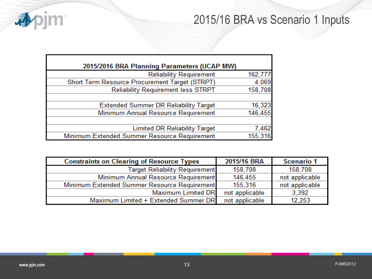## 2015/16 BRA vs Scenario 1 Inputs



| 2015/2016 BRA Planning Parameters (UCAP MW)    |         |
|------------------------------------------------|---------|
| <b>Reliability Requirement</b>                 | 162,777 |
| Short Term Resource Procurement Target (STRPT) | -4,069  |
| <b>Reliability Requirement less STRPT</b>      | 158,708 |
|                                                |         |
| Extended Summer DR Reliability Target 16,323   |         |
| Minimum Annual Resource Requirement            | 146.455 |
|                                                |         |
| <b>Limited DR Reliability Target</b>           | 7.462   |
| Minimum Extended Summer Resource Requirement   | 155,316 |

| <b>Constraints on Clearing of Resource Types</b> | 2015/16 BRA    | <b>Scenario 1</b> |
|--------------------------------------------------|----------------|-------------------|
| <b>Target Reliability Requirement</b>            | 158 708        | 158 708           |
| Minimum Annual Resource Requirement              | 146 455        | not applicable    |
| Minimum Extended Summer Resource Requirement     | 155.316        | not applicable    |
| <b>Maximum Limited DRI</b>                       | not applicable |                   |
| Maximum Limited + Extended Summer DR             | not applicable |                   |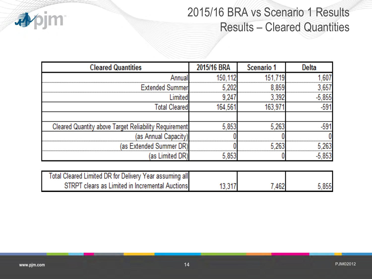

### 2015/16 BRA vs Scenario 1 Results Results – Cleared Quantities

| <b>Cleared Quantities</b>                             | 2015/16 BRA | Scenario 1 | Delta  |
|-------------------------------------------------------|-------------|------------|--------|
|                                                       |             |            |        |
| Extended Summer                                       |             | 859        | 657    |
| Limitedl                                              | 9.24        |            | -5.855 |
| <b>Total Cleared</b>                                  | 164.561     | 163.97     | -591   |
|                                                       |             |            |        |
| Cleared Quantity above Target Reliability Requirement | 5.853       | 5.26       | -591   |
| (as Annual Capacity)                                  |             |            |        |
| (as Extended Summer DR)                               |             |            | 263    |
| (as Limited DR)                                       | 5.853       |            |        |
|                                                       |             |            |        |

| Total Cleared Limited DR for Delivery Year assuming all |        |     |       |
|---------------------------------------------------------|--------|-----|-------|
| STRPT clears as Limited in Incremental Auctions         | 13,317 | 462 | 5,855 |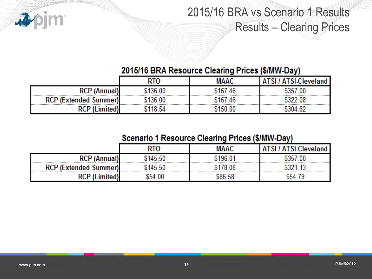

# 2015/16 BRA vs Scenario 1 Results Results – Clearing Prices

### 2015/16 BRA Resource Clearing Prices (\$/MW-Day)

|                              |      | MAAC   | TSLClevel |
|------------------------------|------|--------|-----------|
| <b>RCP</b>                   |      | 167.46 | .00       |
| <b>RCP (Extended Summer)</b> |      |        |           |
| ישי                          | õ 54 | 150.00 |           |

#### **Scenario 1 Resource Clearing Prices (\$/MW-Day)**

|                                           |            |                    | - - |
|-------------------------------------------|------------|--------------------|-----|
|                                           |            | MAAC               |     |
| "                                         | 145.50     | 196.0 <sup>4</sup> |     |
| <b>CP (Extended Summer)</b><br><b>RCI</b> | -50<br>ገብዱ |                    |     |
| "                                         |            | הר ח               |     |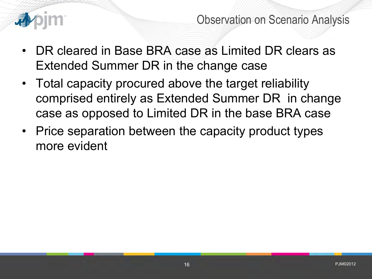

Observation on Scenario Analysis

- DR cleared in Base BRA case as Limited DR clears as Extended Summer DR in the change case
- Total capacity procured above the target reliability comprised entirely as Extended Summer DR in change case as opposed to Limited DR in the base BRA case
- Price separation between the capacity product types more evident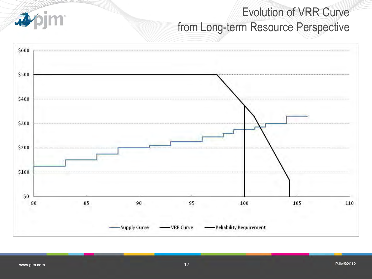# Evolution of VRR Curve from Long-term Resource Perspective



4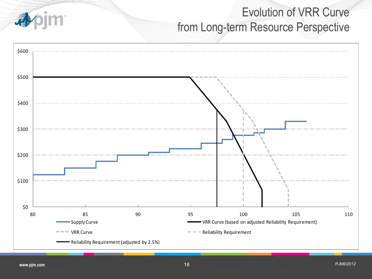# Evolution of VRR Curve from Long-term Resource Perspective